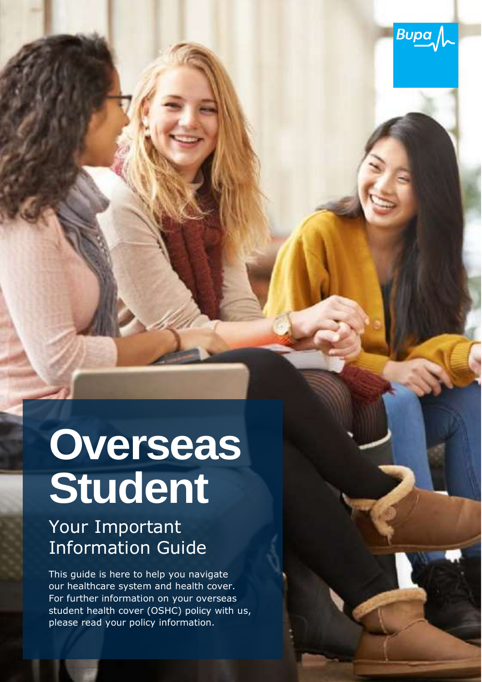

# **Overseas Student**

### Your Important Information Guide

This guide is here to help you navigate our healthcare system and health cover. For further information on your overseas student health cover (OSHC) policy with us, please read your policy information.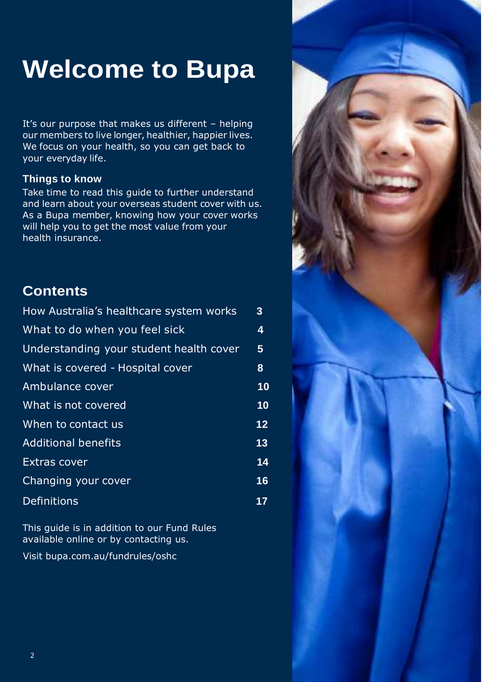### **Welcome to Bupa**

It's our purpose that makes us different – helping our members to live longer, healthier, happier lives. We focus on your health, so you can get back to your everyday life.

#### **Things to know**

Take time to read this guide to further understand and learn about your overseas student cover with us. As a Bupa member, knowing how your cover works will help you to get the most value from your health insurance.

#### **Contents**

| How Australia's healthcare system works | 3  |
|-----------------------------------------|----|
| What to do when you feel sick           | 4  |
| Understanding your student health cover | 5  |
| What is covered - Hospital cover        | 8  |
| Ambulance cover                         | 10 |
| What is not covered                     | 10 |
| When to contact us                      | 12 |
| <b>Additional benefits</b>              | 13 |
| <b>Extras cover</b>                     | 14 |
| Changing your cover                     | 16 |
| <b>Definitions</b>                      | 17 |

This guide is in addition to our Fund Rules available online or by contacting us.

Visit bupa.com.au/fundrules/oshc

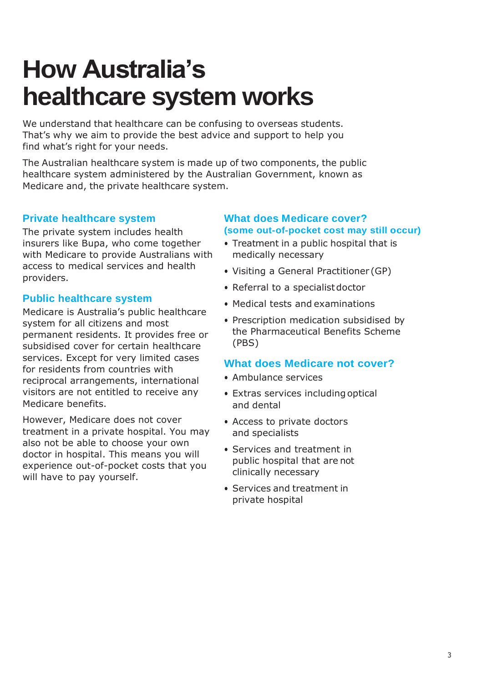### **How Australia's healthcare system works**

We understand that healthcare can be confusing to overseas students. That's why we aim to provide the best advice and support to help you find what's right for your needs.

The Australian healthcare system is made up of two components, the public healthcare system administered by the Australian Government, known as Medicare and, the private healthcare system.

#### **Private healthcare system**

The private system includes health insurers like Bupa, who come together with Medicare to provide Australians with access to medical services and health providers.

#### **Public healthcare system**

Medicare is Australia's public healthcare system for all citizens and most permanent residents. It provides free or subsidised cover for certain healthcare services. Except for very limited cases for residents from countries with reciprocal arrangements, international visitors are not entitled to receive any Medicare benefits.

However, Medicare does not cover treatment in a private hospital. You may also not be able to choose your own doctor in hospital. This means you will experience out-of-pocket costs that you will have to pay yourself.

#### **What does Medicare cover? (some out-of-pocket cost may still occur)**

- Treatment in a public hospital that is medically necessary
- Visiting a General Practitioner (GP)
- Referral to a specialist doctor
- Medical tests and examinations
- Prescription medication subsidised by the Pharmaceutical Benefits Scheme (PBS)

#### **What does Medicare not cover?**

- Ambulance services
- Extras services includingoptical and dental
- Access to private doctors and specialists
- Services and treatment in public hospital that are not clinically necessary
- Services and treatment in private hospital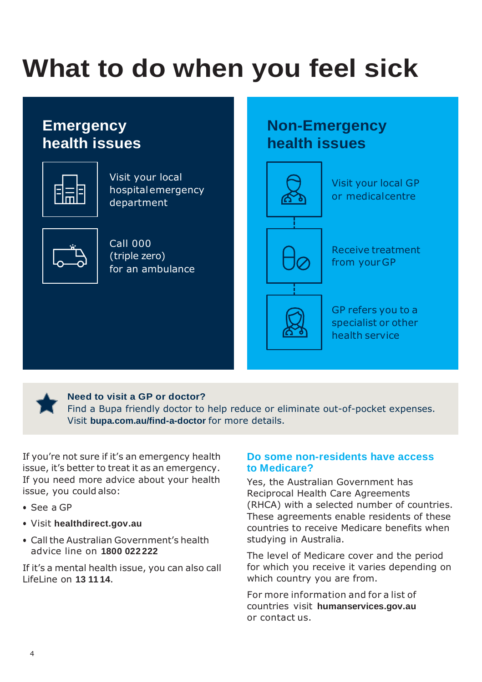## <span id="page-3-0"></span>**What to do when you feel sick**

### **Emergency health issues**



Visit your local hospitalemergency department



Call 000 (triple zero) for an ambulance

### **Non-Emergency health issues**





**Need to visit a GP or doctor?**

Find a Bupa friendly doctor to help reduce or eliminate out-of-pocket expenses. Visit **bupa.com.au/find-a-doctor** for more details.

If you're not sure if it's an emergency health issue, it's better to treat it as an emergency. If you need more advice about your health issue, you could also:

- See a GP
- Visit **healthdirect.gov.au**
- Call the Australian Government's health advice line on **1800 022 222**

If it's a mental health issue, you can also call LifeLine on **13 11 14**.

#### **Do some non-residents have access to Medicare?**

Yes, the Australian Government has Reciprocal Health Care Agreements (RHCA) with a selected number of countries. These agreements enable residents of these countries to receive Medicare benefits when studying in Australia.

The level of Medicare cover and the period for which you receive it varies depending on which country you are from.

For more information and for a list of countries visit **humanservices.gov.au** or contact us.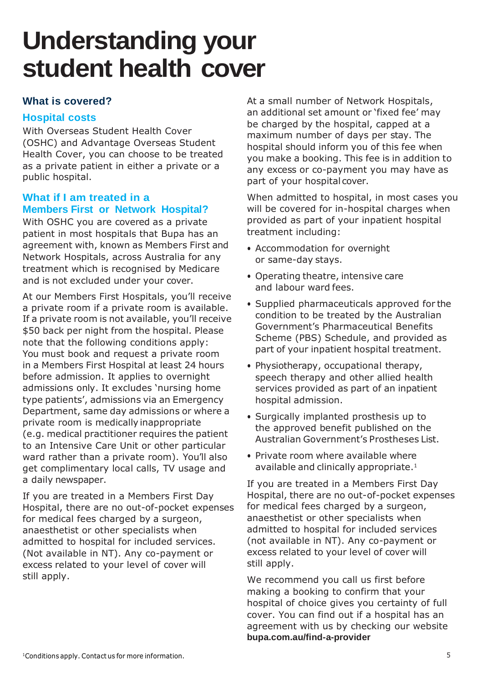### <span id="page-4-0"></span>**Understanding your student health cover**

#### **What is covered?**

#### **Hospital costs**

With Overseas Student Health Cover (OSHC) and Advantage Overseas Student Health Cover, you can choose to be treated as a private patient in either a private or a public hospital.

#### **What if I am treated in a Members First or Network Hospital?**

With OSHC you are covered as a private patient in most hospitals that Bupa has an agreement with, known as Members First and Network Hospitals, across Australia for any treatment which is recognised by Medicare and is not excluded under your cover.

At our Members First Hospitals, you'll receive a private room if a private room is available. If a private room is not available, you'll receive \$50 back per night from the hospital. Please note that the following conditions apply: You must book and request a private room in a Members First Hospital at least 24 hours before admission. It applies to overnight admissions only. It excludes 'nursing home type patients', admissions via an Emergency Department, same day admissions or where a private room is medically inappropriate (e.g. medical practitioner requires the patient to an Intensive Care Unit or other particular ward rather than a private room). You'll also get complimentary local calls, TV usage and a daily newspaper.

If you are treated in a Members First Day Hospital, there are no out-of-pocket expenses for medical fees charged by a surgeon, anaesthetist or other specialists when admitted to hospital for included services. (Not available in NT). Any co-payment or excess related to your level of cover will still apply.

At a small number of Network Hospitals, an additional set amount or 'fixed fee' may be charged by the hospital, capped at a maximum number of days per stay. The hospital should inform you of this fee when you make a booking. This fee is in addition to any excess or co-payment you may have as part of your hospital cover.

When admitted to hospital, in most cases you will be covered for in-hospital charges when provided as part of your inpatient hospital treatment including:

- Accommodation for overnight or same-day stays.
- Operating theatre, intensive care and labour ward fees.
- Supplied pharmaceuticals approved for the condition to be treated by the Australian Government's Pharmaceutical Benefits Scheme (PBS) Schedule, and provided as part of your inpatient hospital treatment.
- Physiotherapy, occupational therapy, speech therapy and other allied health services provided as part of an inpatient hospital admission.
- Surgically implanted prosthesis up to the approved benefit published on the Australian Government's Prostheses List.
- Private room where available where available and clinically appropriate.<sup>1</sup>

If you are treated in a Members First Day Hospital, there are no out-of-pocket expenses for medical fees charged by a surgeon, anaesthetist or other specialists when admitted to hospital for included services (not available in NT). Any co-payment or excess related to your level of cover will still apply.

We recommend you call us first before making a booking to confirm that your hospital of choice gives you certainty of full cover. You can find out if a hospital has an agreement with us by checking our website **bupa.com.au/find-a-provider**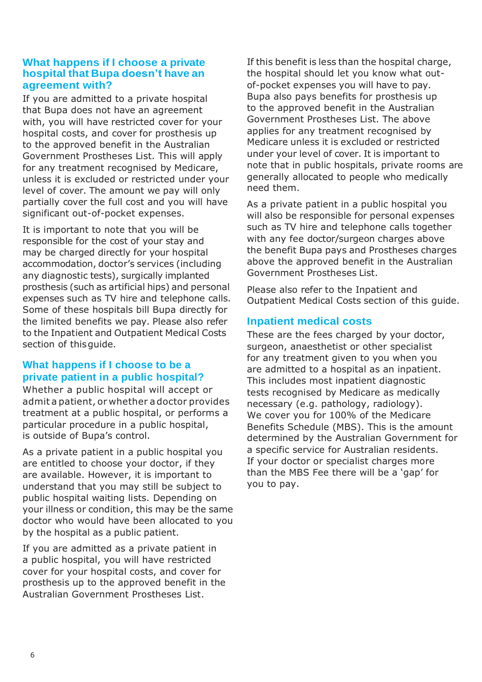#### **What happens if I choose a private hospital that Bupa doesn't have an agreement with?**

If you are admitted to a private hospital that Bupa does not have an agreement with, you will have restricted cover for your hospital costs, and cover for prosthesis up to the approved benefit in the Australian Government Prostheses List. This will apply for any treatment recognised by Medicare. unless it is excluded or restricted under your level of cover. The amount we pay will only partially cover the full cost and you will have significant out-of-pocket expenses.

It is important to note that you will be responsible for the cost of your stay and may be charged directly for your hospital accommodation, doctor's services (including any diagnostic tests), surgically implanted prosthesis (such as artificial hips) and personal expenses such as TV hire and telephone calls. Some of these hospitals bill Bupa directly for the limited benefits we pay. Please also refer to the Inpatient and Outpatient Medical Costs section of thisguide.

#### **What happens if I choose to be a private patient in a public hospital?**

Whether a public hospital will accept or admit a patient, or whether a doctor provides treatment at a public hospital, or performs a particular procedure in a public hospital, is outside of Bupa's control.

As a private patient in a public hospital you are entitled to choose your doctor, if they are available. However, it is important to understand that you may still be subject to public hospital waiting lists. Depending on your illness or condition, this may be the same doctor who would have been allocated to you by the hospital as a public patient.

If you are admitted as a private patient in a public hospital, you will have restricted cover for your hospital costs, and cover for prosthesis up to the approved benefit in the Australian Government Prostheses List.

If this benefit is less than the hospital charge, the hospital should let you know what outof-pocket expenses you will have to pay. Bupa also pays benefits for prosthesis up to the approved benefit in the Australian Government Prostheses List. The above applies for any treatment recognised by Medicare unless it is excluded or restricted under your level of cover. It is important to note that in public hospitals, private rooms are generally allocated to people who medically need them.

As a private patient in a public hospital you will also be responsible for personal expenses such as TV hire and telephone calls together with any fee doctor/surgeon charges above the benefit Bupa pays and Prostheses charges above the approved benefit in the Australian Government Prostheses List.

Please also refer to the Inpatient and Outpatient Medical Costs section of this guide.

#### **Inpatient medical costs**

These are the fees charged by your doctor, surgeon, anaesthetist or other specialist for any treatment given to you when you are admitted to a hospital as an inpatient. This includes most inpatient diagnostic tests recognised by Medicare as medically necessary (e.g. pathology, radiology). We cover you for 100% of the Medicare Benefits Schedule (MBS). This is the amount determined by the Australian Government for a specific service for Australian residents. If your doctor or specialist charges more than the MBS Fee there will be a 'gap' for you to pay.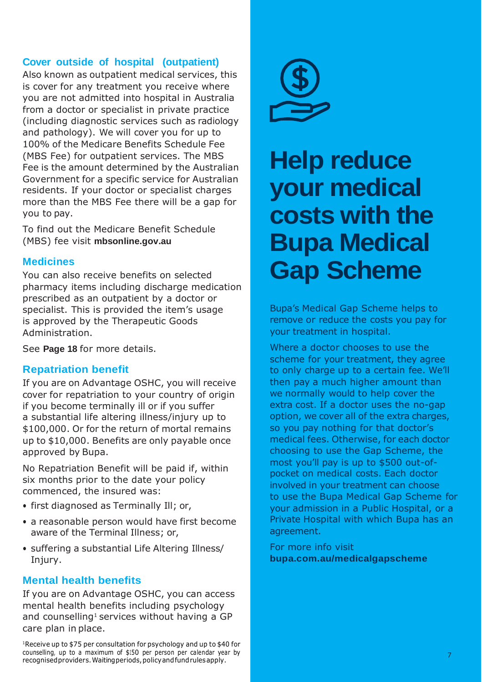#### **Cover outside of hospital (outpatient)**

Also known as outpatient medical services, this is cover for any treatment you receive where you are not admitted into hospital in Australia from a doctor or specialist in private practice (including diagnostic services such as radiology and pathology). We will cover you for up to 100% of the Medicare Benefits Schedule Fee (MBS Fee) for outpatient services. The MBS Fee is the amount determined by the Australian Government for a specific service for Australian residents. If your doctor or specialist charges more than the MBS Fee there will be a gap for you to pay.

To find out the Medicare Benefit Schedule (MBS) fee visit **mbsonline.gov.au**

#### **Medicines**

You can also receive benefits on selected pharmacy items including discharge medication prescribed as an outpatient by a doctor or specialist. This is provided the item's usage is approved by the Therapeutic Goods Administration.

See **Page 18** for more details.

#### **Repatriation benefit**

If you are on Advantage OSHC, you will receive cover for repatriation to your country of origin if you become terminally ill or if you suffer a substantial life altering illness/injury up to \$100,000. Or for the return of mortal remains up to \$10,000. Benefits are only payable once approved by Bupa.

No Repatriation Benefit will be paid if, within six months prior to the date your policy commenced, the insured was:

- first diagnosed as Terminally Ill; or,
- a reasonable person would have first become aware of the Terminal Illness; or,
- suffering a substantial Life Altering Illness/ Injury.

#### **Mental health benefits**

If you are on Advantage OSHC, you can access mental health benefits including psychology and counselling<sup>1</sup> services without having a GP care plan in place.

<sup>1</sup>Receive up to \$75 per consultation for psychology and up to \$40 for counselling, up to a maximum of \$150 per person per calendar year by recognisedproviders.Waitingperiods,policyandfundrulesapply.



### **Help reduce your medical costs with the Bupa Medical Gap Scheme**

Bupa's Medical Gap Scheme helps to remove or reduce the costs you pay for your treatment in hospital.

Where a doctor chooses to use the scheme for your treatment, they agree to only charge up to a certain fee. We'll then pay a much higher amount than we normally would to help cover the extra cost. If a doctor uses the no-gap option, we cover all of the extra charges, so you pay nothing for that doctor's medical fees. Otherwise, for each doctor choosing to use the Gap Scheme, the most you'll pay is up to \$500 out-ofpocket on medical costs. Each doctor involved in your treatment can choose to use the Bupa Medical Gap Scheme for your admission in a Public Hospital, or a Private Hospital with which Bupa has an agreement.

For more info visit **bupa.com.au/medicalgapscheme**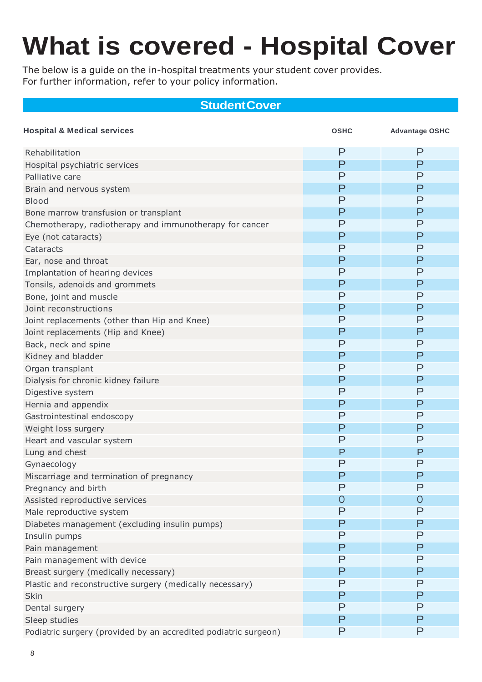## <span id="page-7-0"></span>**What is covered - Hospital Cover**

The below is a guide on the in-hospital treatments your student cover provides. For further information, refer to your policy information.

#### **StudentCover**

| <b>Hospital &amp; Medical services</b>                          | <b>OSHC</b> | <b>Advantage OSHC</b> |
|-----------------------------------------------------------------|-------------|-----------------------|
| Rehabilitation                                                  | P           | P                     |
| Hospital psychiatric services                                   | P           | P                     |
| Palliative care                                                 | P           | P                     |
| Brain and nervous system                                        | P           | P                     |
| Blood                                                           | P           | P                     |
| Bone marrow transfusion or transplant                           | P           | P                     |
| Chemotherapy, radiotherapy and immunotherapy for cancer         | P           | P                     |
| Eye (not cataracts)                                             | P           | P                     |
| Cataracts                                                       | P           | P                     |
| Ear, nose and throat                                            | P           | P                     |
| Implantation of hearing devices                                 | P           | P                     |
| Tonsils, adenoids and grommets                                  | P           | P                     |
| Bone, joint and muscle                                          | P           | P                     |
| Joint reconstructions                                           | P           | P                     |
| Joint replacements (other than Hip and Knee)                    | P           | P                     |
| Joint replacements (Hip and Knee)                               | P           | P                     |
| Back, neck and spine                                            | P           | P                     |
| Kidney and bladder                                              | P           | Р                     |
| Organ transplant                                                | P           | P                     |
| Dialysis for chronic kidney failure                             | P           | P                     |
| Digestive system                                                | P           | P                     |
| Hernia and appendix                                             | P           | P                     |
| Gastrointestinal endoscopy                                      | P           | P                     |
| Weight loss surgery                                             | P           | P                     |
| Heart and vascular system                                       | P           | P                     |
| Lung and chest                                                  | P           | P                     |
| Gynaecology                                                     | P           | P                     |
| Miscarriage and termination of pregnancy                        | P           | P                     |
| Pregnancy and birth                                             | P           | P                     |
| Assisted reproductive services                                  | 0           | 0                     |
| Male reproductive system                                        | P           | P                     |
| Diabetes management (excluding insulin pumps)                   | P           | P                     |
| Insulin pumps                                                   | P           | P                     |
| Pain management                                                 | P           | P                     |
| Pain management with device                                     | P           | P                     |
| Breast surgery (medically necessary)                            | P           | Ρ                     |
| Plastic and reconstructive surgery (medically necessary)        | P           | P                     |
| Skin                                                            | P           | P                     |
| Dental surgery                                                  | P           | P                     |
| Sleep studies                                                   | P           | P                     |
| Podiatric surgery (provided by an accredited podiatric surgeon) | P           | P                     |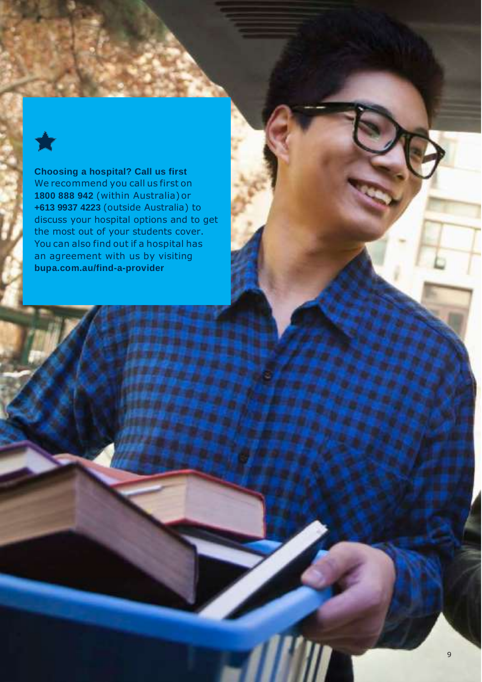**Choosing a hospital? Call us first**  We recommend you call us first on **1800 888 942** (within Australia)or **+613 9937 4223** (outside Australia) to discuss your hospital options and to get the most out of your students cover. You can also find out if a hospital has an agreement with us by visiting **bupa.com.au/find-a-provider**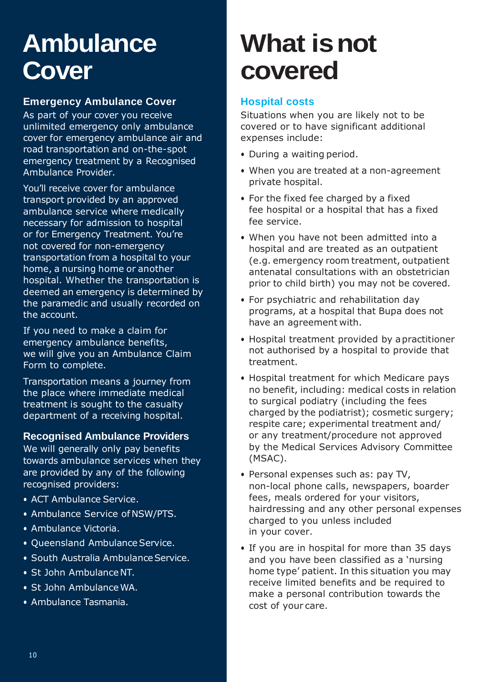### <span id="page-9-0"></span>**Ambulance Cover**

#### **Emergency Ambulance Cover**

As part of your cover you receive unlimited emergency only ambulance cover for emergency ambulance air and road transportation and on-the-spot emergency treatment by a Recognised Ambulance Provider.

You'll receive cover for ambulance transport provided by an approved ambulance service where medically necessary for admission to hospital or for Emergency Treatment. You're not covered for non-emergency transportation from a hospital to your home, a nursing home or another hospital. Whether the transportation is deemed an emergency is determined by the paramedic and usually recorded on the account.

If you need to make a claim for emergency ambulance benefits, we will give you an Ambulance Claim Form to complete.

Transportation means a journey from the place where immediate medical treatment is sought to the casualty department of a receiving hospital.

#### **Recognised Ambulance Providers**

We will generally only pay benefits towards ambulance services when they are provided by any of the following recognised providers:

- ACT Ambulance Service.
- Ambulance Service of NSW/PTS.
- Ambulance Victoria.
- Queensland Ambulance Service.
- South Australia Ambulance Service.
- St John AmbulanceNT.
- St John AmbulanceWA.
- <span id="page-9-1"></span>• Ambulance Tasmania.

### **What isnot covered**

#### **Hospital costs**

Situations when you are likely not to be covered or to have significant additional expenses include:

- During a waiting period.
- When you are treated at a non-agreement private hospital.
- For the fixed fee charged by a fixed fee hospital or a hospital that has a fixed fee service.
- When you have not been admitted into a hospital and are treated as an outpatient (e.g. emergency room treatment, outpatient antenatal consultations with an obstetrician prior to child birth) you may not be covered.
- For psychiatric and rehabilitation day programs, at a hospital that Bupa does not have an agreement with.
- Hospital treatment provided by apractitioner not authorised by a hospital to provide that treatment.
- Hospital treatment for which Medicare pays no benefit, including: medical costs in relation to surgical podiatry (including the fees charged by the podiatrist); cosmetic surgery; respite care; experimental treatment and/ or any treatment/procedure not approved by the Medical Services Advisory Committee (MSAC).
- Personal expenses such as: pay TV, non-local phone calls, newspapers, boarder fees, meals ordered for your visitors, hairdressing and any other personal expenses charged to you unless included in your cover.
- If you are in hospital for more than 35 days and you have been classified as a 'nursing home type' patient. In this situation you may receive limited benefits and be required to make a personal contribution towards the cost of your care.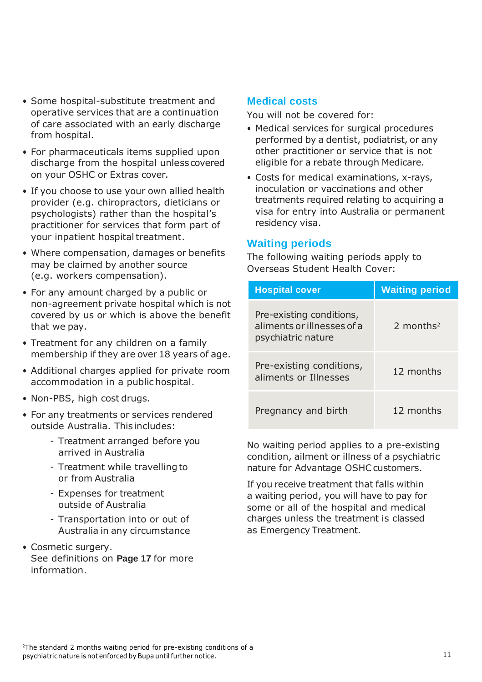- Some hospital-substitute treatment and operative services that are a continuation of care associated with an early discharge from hospital.
- For pharmaceuticals items supplied upon discharge from the hospital unlesscovered on your OSHC or Extras cover.
- If you choose to use your own allied health provider (e.g. chiropractors, dieticians or psychologists) rather than the hospital's practitioner for services that form part of your inpatient hospital treatment.
- Where compensation, damages or benefits may be claimed by another source (e.g. workers compensation).
- For any amount charged by a public or non-agreement private hospital which is not covered by us or which is above the benefit that we pay.
- Treatment for any children on a family membership if they are over 18 years of age.
- Additional charges applied for private room accommodation in a public hospital.
- Non-PBS, high cost drugs.
- For any treatments or services rendered outside Australia. This includes:
	- Treatment arranged before you arrived in Australia
	- Treatment while travelling to or from Australia
	- Expenses for treatment outside of Australia
	- Transportation into or out of Australia in any circumstance
- Cosmetic surgery. See definitions on **Page 17** for more information.

#### **Medical costs**

You will not be covered for:

- Medical services for surgical procedures performed by a dentist, podiatrist, or any other practitioner or service that is not eligible for a rebate through Medicare.
- Costs for medical examinations, x-rays, inoculation or vaccinations and other treatments required relating to acquiring a visa for entry into Australia or permanent residency visa.

#### **Waiting periods**

The following waiting periods apply to Overseas Student Health Cover:

| <b>Hospital cover</b>                                                        | <b>Waiting period</b>   |  |
|------------------------------------------------------------------------------|-------------------------|--|
| Pre-existing conditions,<br>aliments or illnesses of a<br>psychiatric nature | $2$ months <sup>2</sup> |  |
| Pre-existing conditions,<br>aliments or Illnesses                            | 12 months               |  |
| Pregnancy and birth                                                          | 12 months               |  |

No waiting period applies to a pre-existing condition, ailment or illness of a psychiatric nature for Advantage OSHC customers.

If you receive treatment that falls within a waiting period, you will have to pay for some or all of the hospital and medical charges unless the treatment is classed as Emergency Treatment.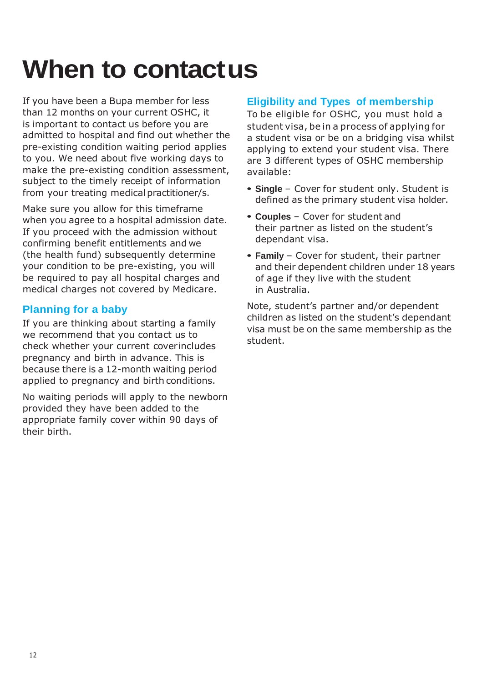## <span id="page-11-0"></span>**When to contactus**

If you have been a Bupa member for less than 12 months on your current OSHC, it is important to contact us before you are admitted to hospital and find out whether the pre-existing condition waiting period applies to you. We need about five working days to make the pre-existing condition assessment, subject to the timely receipt of information from your treating medical practitioner/s.

Make sure you allow for this timeframe when you agree to a hospital admission date. If you proceed with the admission without confirming benefit entitlements and we (the health fund) subsequently determine your condition to be pre-existing, you will be required to pay all hospital charges and medical charges not covered by Medicare.

#### **Planning for a baby**

If you are thinking about starting a family we recommend that you contact us to check whether your current coverincludes pregnancy and birth in advance. This is because there is a 12-month waiting period applied to pregnancy and birth conditions.

No waiting periods will apply to the newborn provided they have been added to the appropriate family cover within 90 days of their birth.

#### **Eligibility and Types of membership**

To be eligible for OSHC, you must hold a student visa, be in a process of applying for a student visa or be on a bridging visa whilst applying to extend your student visa. There are 3 different types of OSHC membership available:

- **• Single**  Cover for student only. Student is defined as the primary student visa holder.
- **• Couples**  Cover for student and their partner as listed on the student's dependant visa.
- **• Family**  Cover for student, their partner and their dependent children under 18 years of age if they live with the student in Australia.

Note, student's partner and/or dependent children as listed on the student's dependant visa must be on the same membership as the student.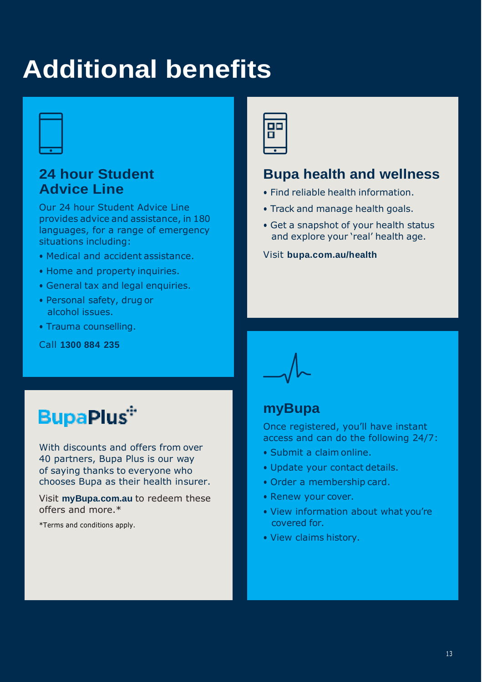### <span id="page-12-0"></span>**Additional benefits**



### **24 hour Student Advice Line**

Our 24 hour Student Advice Line provides advice and assistance, in 180 languages, for a range of emergency situations including:

- Medical and accident assistance.
- Home and property inquiries.
- General tax and legal enquiries.
- Personal safety, drug or alcohol issues.
- Trauma counselling.

Call **1300 884 235**

### **BupaPlus<sup>\*</sup>**

With discounts and offers from over 40 partners, Bupa Plus is our way of saying thanks to everyone who chooses Bupa as their health insurer.

Visit **myBupa.com.au** to redeem these offers and more.\*

\*Terms and conditions apply.



#### **Bupa health and wellness**

- Find reliable health information.
- Track and manage health goals.
- Get a snapshot of your health status and explore your 'real' health age.

#### Visit **bupa.com.au/health**

#### **myBupa**

Once registered, you'll have instant access and can do the following 24/7:

- Submit a claim online.
- Update your contact details.
- Order a membership card.
- Renew your cover.
- View information about what you're covered for.
- View claims history.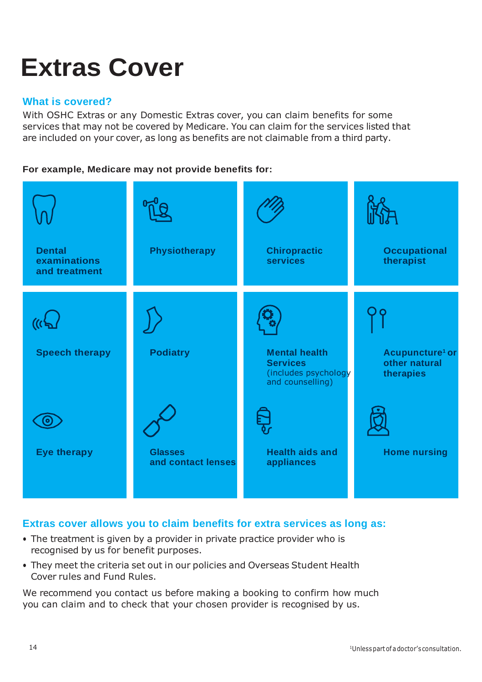### <span id="page-13-0"></span>**Extras Cover**

#### **What is covered?**

With OSHC Extras or any Domestic Extras cover, you can claim benefits for some services that may not be covered by Medicare. You can claim for the services listed that are included on your cover, as long as benefits are not claimable from a third party.

#### **For example, Medicare may not provide benefits for:**



#### **Extras cover allows you to claim benefits for extra services as long as:**

- The treatment is given by a provider in private practice provider who is recognised by us for benefit purposes.
- They meet the criteria set out in our policies and Overseas Student Health Cover rules and Fund Rules.

We recommend you contact us before making a booking to confirm how much you can claim and to check that your chosen provider is recognised by us.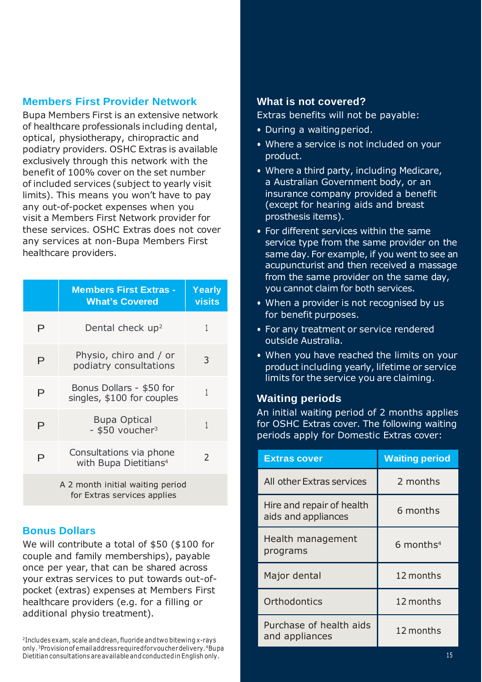#### **Members First Provider Network**

Bupa Members First is an extensive network of healthcare professionals including dental, optical, physiotherapy, chiropractic and podiatry providers. OSHC Extras is available exclusively through this network with the benefit of 100% cover on the set number of included services (subject to yearly visit limits). This means you won't have to pay any out-of-pocket expenses when you visit a Members First Network provider for these services. OSHC Extras does not cover any services at non-Bupa Members First healthcare providers.

|   | <b>Members First Extras -</b><br><b>What's Covered</b>          | Yearly<br><b>visits</b> |
|---|-----------------------------------------------------------------|-------------------------|
| Р | Dental check up <sup>2</sup>                                    | 1                       |
| P | Physio, chiro and / or<br>podiatry consultations                | 3                       |
| P | Bonus Dollars - \$50 for<br>singles, \$100 for couples          | 1                       |
| P | <b>Bupa Optical</b><br>- \$50 voucher <sup>3</sup>              | 1                       |
| P | Consultations via phone<br>with Bupa Dietitians <sup>4</sup>    | C                       |
|   | A 2 month initial waiting period<br>for Extras services applies |                         |

#### **Bonus Dollars**

We will contribute a total of \$50 (\$100 for couple and family memberships), payable once per year, that can be shared across your extras services to put towards out-ofpocket (extras) expenses at Members First healthcare providers (e.g. for a filling or additional physio treatment).

<sup>2</sup>Includes exam, scale and clean, fluoride andtwo bitewing x-rays only. <sup>3</sup>Provision of email address required for you cherdelivery. <sup>4</sup>Bupa Dietitian consultations are available andconductedin English only.

#### **What is not covered?**

Extras benefits will not be payable:

- During a waiting period.
- Where a service is not included on your product.
- Where a third party, including Medicare, a Australian Government body, or an insurance company provided a benefit (except for hearing aids and breast prosthesis items).
- For different services within the same service type from the same provider on the same day. For example, if you went to see an acupuncturist and then received a massage from the same provider on the same day, you cannot claim for both services.
- When a provider is not recognised by us for benefit purposes.
- For any treatment or service rendered outside Australia.
- When you have reached the limits on your product including yearly, lifetime or service limits for the service you are claiming.

#### **Waiting periods**

An initial waiting period of 2 months applies for OSHC Extras cover. The following waiting periods apply for Domestic Extras cover:

| <b>Extras cover</b>                              | <b>Waiting period</b>   |
|--------------------------------------------------|-------------------------|
| All other Extras services                        | 2 months                |
| Hire and repair of health<br>aids and appliances | 6 months                |
| Health management<br>programs                    | $6$ months <sup>4</sup> |
| Major dental                                     | 12 months               |
| Orthodontics                                     | 12 months               |
| Purchase of health aids<br>and appliances        | 12 months               |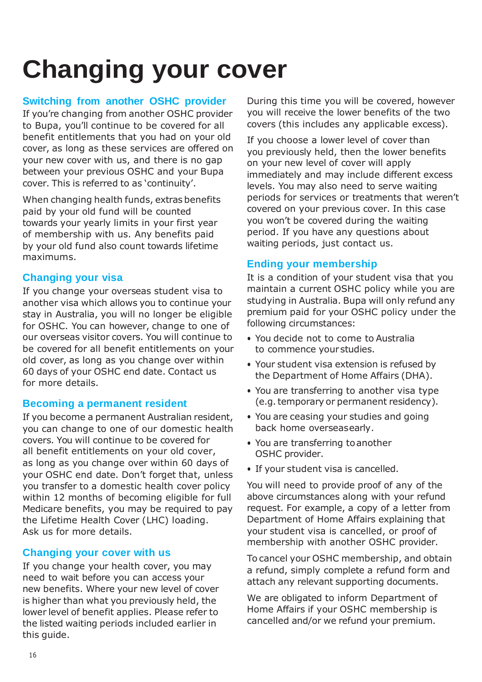## <span id="page-15-0"></span>**Changing your cover**

#### **Switching from another OSHC provider**

If you're changing from another OSHC provider to Bupa, you'll continue to be covered for all benefit entitlements that you had on your old cover, as long as these services are offered on your new cover with us, and there is no gap between your previous OSHC and your Bupa cover. This is referred to as 'continuity'.

When changing health funds, extras benefits paid by your old fund will be counted towards your yearly limits in your first year of membership with us. Any benefits paid by your old fund also count towards lifetime maximums.

#### **Changing your visa**

If you change your overseas student visa to another visa which allows you to continue your stay in Australia, you will no longer be eligible for OSHC. You can however, change to one of our overseas visitor covers. You will continue to be covered for all benefit entitlements on your old cover, as long as you change over within 60 days of your OSHC end date. Contact us for more details.

#### **Becoming a permanent resident**

If you become a permanent Australian resident, you can change to one of our domestic health covers. You will continue to be covered for all benefit entitlements on your old cover, as long as you change over within 60 days of your OSHC end date. Don't forget that, unless you transfer to a domestic health cover policy within 12 months of becoming eligible for full Medicare benefits, you may be required to pay the Lifetime Health Cover (LHC) loading. Ask us for more details.

#### **Changing your cover with us**

If you change your health cover, you may need to wait before you can access your new benefits. Where your new level of cover is higher than what you previously held, the lower level of benefit applies. Please refer to the listed waiting periods included earlier in this guide.

During this time you will be covered, however you will receive the lower benefits of the two covers (this includes any applicable excess).

If you choose a lower level of cover than you previously held, then the lower benefits on your new level of cover will apply immediately and may include different excess levels. You may also need to serve waiting periods for services or treatments that weren't covered on your previous cover. In this case you won't be covered during the waiting period. If you have any questions about waiting periods, just contact us.

#### **Ending your membership**

It is a condition of your student visa that you maintain a current OSHC policy while you are studying in Australia. Bupa will only refund any premium paid for your OSHC policy under the following circumstances:

- You decide not to come to Australia to commence yourstudies.
- Your student visa extension is refused by the Department of Home Affairs (DHA).
- You are transferring to another visa type (e.g.temporary or permanent residency).
- You are ceasing your studies and going back home overseasearly.
- You are transferring toanother OSHC provider.
- If your student visa is cancelled.

You will need to provide proof of any of the above circumstances along with your refund request. For example, a copy of a letter from Department of Home Affairs explaining that your student visa is cancelled, or proof of membership with another OSHC provider.

To cancel your OSHC membership, and obtain a refund, simply complete a refund form and attach any relevant supporting documents.

We are obligated to inform Department of Home Affairs if your OSHC membership is cancelled and/or we refund your premium.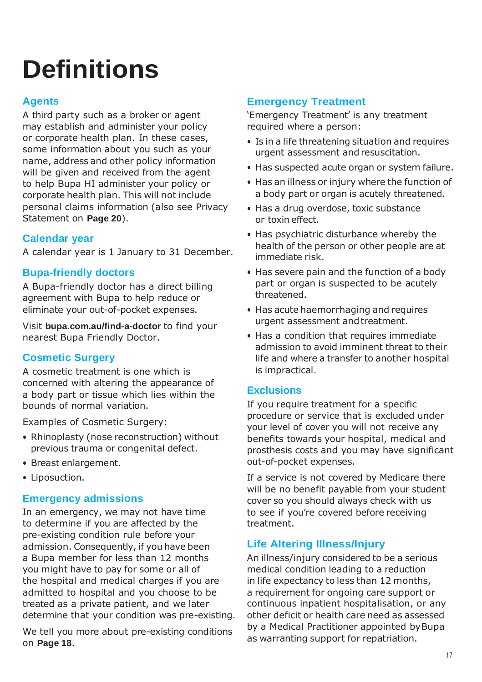## <span id="page-16-0"></span>**Definitions**

#### **Agents**

A third party such as a broker or agent may establish and administer your policy or corporate health plan. In these cases, some information about you such as your name, address and other policy information will be given and received from the agent to help Bupa HI administer your policy or corporate health plan. This will not include personal claims information (also see Privacy Statement on **Page 20**).

#### **Calendar year**

A calendar year is 1 January to 31 December.

#### **Bupa-friendly doctors**

A Bupa-friendly doctor has a direct billing agreement with Bupa to help reduce or eliminate your out-of-pocket expenses.

Visit **bupa.com.au/find-a-doctor** to find your nearest Bupa Friendly Doctor.

#### **Cosmetic Surgery**

A cosmetic treatment is one which is concerned with altering the appearance of a body part or tissue which lies within the bounds of normal variation.

Examples of Cosmetic Surgery:

- Rhinoplasty (nose reconstruction) without previous trauma or congenital defect.
- Breast enlargement.
- Liposuction.

#### **Emergency admissions**

In an emergency, we may not have time to determine if you are affected by the pre-existing condition rule before your admission. Consequently, if you have been a Bupa member for less than 12 months you might have to pay for some or all of the hospital and medical charges if you are admitted to hospital and you choose to be treated as a private patient, and we later determine that your condition was pre-existing.

We tell you more about pre-existing conditions on **Page 18**.

#### **Emergency Treatment**

'Emergency Treatment' is any treatment required where a person:

- Is in a life threatening situation and requires urgent assessment and resuscitation.
- Has suspected acute organ or system failure.
- Has an illness or injury where the function of a body part or organ is acutely threatened.
- Has a drug overdose, toxic substance or toxin effect.
- Has psychiatric disturbance whereby the health of the person or other people are at immediate risk.
- Has severe pain and the function of a body part or organ is suspected to be acutely threatened.
- Has acute haemorrhaging and requires urgent assessment andtreatment.
- Has a condition that requires immediate admission to avoid imminent threat to their life and where a transfer to another hospital is impractical.

#### **Exclusions**

If you require treatment for a specific procedure or service that is excluded under your level of cover you will not receive any benefits towards your hospital, medical and prosthesis costs and you may have significant out-of-pocket expenses.

If a service is not covered by Medicare there will be no benefit payable from your student cover so you should always check with us to see if you're covered before receiving treatment.

#### **Life Altering Illness/Injury**

An illness/injury considered to be a serious medical condition leading to a reduction in life expectancy to less than 12 months, a requirement for ongoing care support or continuous inpatient hospitalisation, or any other deficit or health care need as assessed by a Medical Practitioner appointed byBupa as warranting support for repatriation.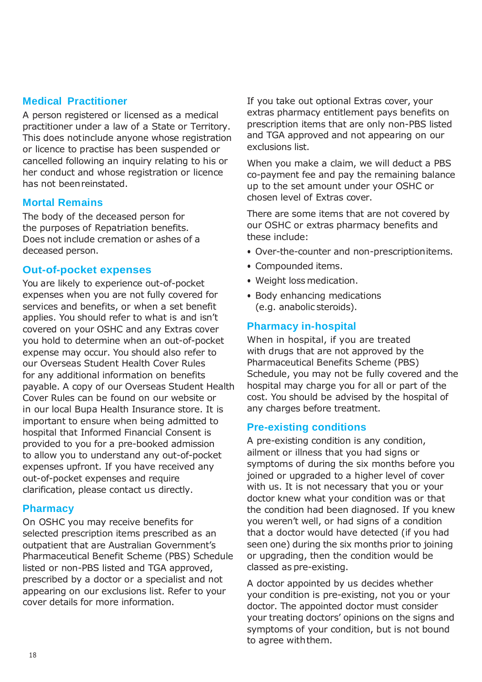#### **Medical Practitioner**

A person registered or licensed as a medical practitioner under a law of a State or Territory. This does notinclude anyone whose registration or licence to practise has been suspended or cancelled following an inquiry relating to his or her conduct and whose registration or licence has not beenreinstated.

#### **Mortal Remains**

The body of the deceased person for the purposes of Repatriation benefits. Does not include cremation or ashes of a deceased person.

#### **Out-of-pocket expenses**

You are likely to experience out-of-pocket expenses when you are not fully covered for services and benefits, or when a set benefit applies. You should refer to what is and isn't covered on your OSHC and any Extras cover you hold to determine when an out-of-pocket expense may occur. You should also refer to our Overseas Student Health Cover Rules for any additional information on benefits payable. A copy of our Overseas Student Health Cover Rules can be found on our website or in our local Bupa Health Insurance store. It is important to ensure when being admitted to hospital that Informed Financial Consent is provided to you for a pre-booked admission to allow you to understand any out-of-pocket expenses upfront. If you have received any out-of-pocket expenses and require clarification, please contact us directly.

#### **Pharmacy**

On OSHC you may receive benefits for selected prescription items prescribed as an outpatient that are Australian Government's Pharmaceutical Benefit Scheme (PBS) Schedule listed or non-PBS listed and TGA approved, prescribed by a doctor or a specialist and not appearing on our exclusions list. Refer to your cover details for more information.

If you take out optional Extras cover, your extras pharmacy entitlement pays benefits on prescription items that are only non-PBS listed and TGA approved and not appearing on our exclusions list.

When you make a claim, we will deduct a PBS co-payment fee and pay the remaining balance up to the set amount under your OSHC or chosen level of Extras cover.

There are some items that are not covered by our OSHC or extras pharmacy benefits and these include:

- Over-the-counter and non-prescriptionitems.
- Compounded items.
- Weight loss medication.
- Body enhancing medications (e.g. anabolic steroids).

#### **Pharmacy in-hospital**

When in hospital, if you are treated with drugs that are not approved by the Pharmaceutical Benefits Scheme (PBS) Schedule, you may not be fully covered and the hospital may charge you for all or part of the cost. You should be advised by the hospital of any charges before treatment.

#### **Pre-existing conditions**

A pre-existing condition is any condition, ailment or illness that you had signs or symptoms of during the six months before you joined or upgraded to a higher level of cover with us. It is not necessary that you or your doctor knew what your condition was or that the condition had been diagnosed. If you knew you weren't well, or had signs of a condition that a doctor would have detected (if you had seen one) during the six months prior to joining or upgrading, then the condition would be classed as pre-existing.

A doctor appointed by us decides whether your condition is pre-existing, not you or your doctor. The appointed doctor must consider your treating doctors' opinions on the signs and symptoms of your condition, but is not bound to agree withthem.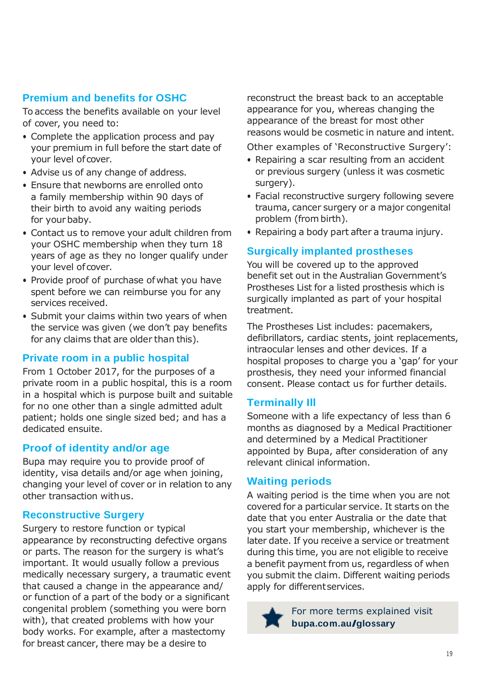#### **Premium and benefits for OSHC**

To access the benefits available on your level of cover, you need to:

- Complete the application process and pay your premium in full before the start date of your level of cover.
- Advise us of any change of address.
- Ensure that newborns are enrolled onto a family membership within 90 days of their birth to avoid any waiting periods for your baby.
- Contact us to remove your adult children from your OSHC membership when they turn 18 years of age as they no longer qualify under your level of cover.
- Provide proof of purchase ofwhat you have spent before we can reimburse you for any services received.
- Submit your claims within two years of when the service was given (we don't pay benefits for any claims that are older than this).

#### **Private room in a public hospital**

From 1 October 2017, for the purposes of a private room in a public hospital, this is a room in a hospital which is purpose built and suitable for no one other than a single admitted adult patient; holds one single sized bed; and has a dedicated ensuite.

#### **Proof of identity and/or age**

Bupa may require you to provide proof of identity, visa details and/or age when joining, changing your level of cover or in relation to any other transaction withus.

#### **Reconstructive Surgery**

Surgery to restore function or typical appearance by reconstructing defective organs or parts. The reason for the surgery is what's important. It would usually follow a previous medically necessary surgery, a traumatic event that caused a change in the appearance and/ or function of a part of the body or a significant congenital problem (something you were born with), that created problems with how your body works. For example, after a mastectomy for breast cancer, there may be a desire to

reconstruct the breast back to an acceptable appearance for you, whereas changing the appearance of the breast for most other reasons would be cosmetic in nature and intent.

Other examples of 'Reconstructive Surgery':

- Repairing a scar resulting from an accident or previous surgery (unless it was cosmetic surgery).
- Facial reconstructive surgery following severe trauma, cancer surgery or a major congenital problem (from birth).
- Repairing a body part after a trauma injury.

#### **Surgically implanted prostheses**

You will be covered up to the approved benefit set out in the Australian Government's Prostheses List for a listed prosthesis which is surgically implanted as part of your hospital treatment.

The Prostheses List includes: pacemakers, defibrillators, cardiac stents, joint replacements, intraocular lenses and other devices. If a hospital proposes to charge you a 'gap' for your prosthesis, they need your informed financial consent. Please contact us for further details.

#### **Terminally Ill**

Someone with a life expectancy of less than 6 months as diagnosed by a Medical Practitioner and determined by a Medical Practitioner appointed by Bupa, after consideration of any relevant clinical information.

#### **Waiting periods**

A waiting period is the time when you are not covered for a particular service. It starts on the date that you enter Australia or the date that you start your membership, whichever is the later date. If you receive a service or treatment during this time, you are not eligible to receive a benefit payment from us, regardless of when you submit the claim. Different waiting periods apply for differentservices.



For more terms explained visit **bupa.com.au/glossary**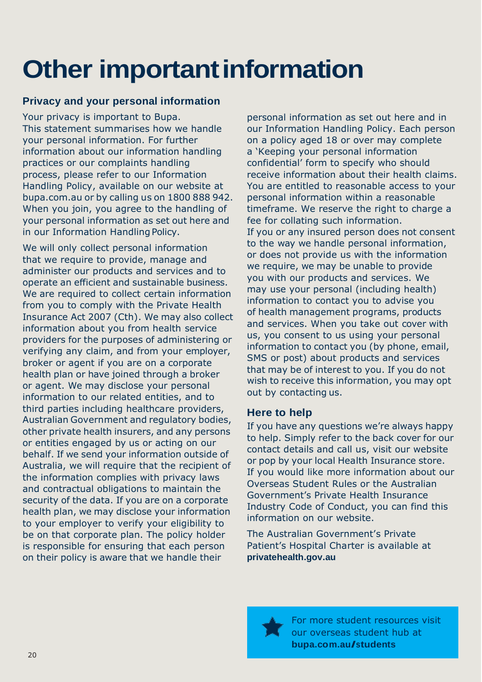## **Other important information**

#### **Privacy and your personal information**

Your privacy is important to Bupa. This statement summarises how we handle your personal information. For further information about our information handling practices or our complaints handling process, please refer to our Information Handling Policy, available on our website at bupa.com.au or by calling us on 1800 888 942. When you join, you agree to the handling of your personal information as set out here and in our Information Handling Policy.

We will only collect personal information that we require to provide, manage and administer our products and services and to operate an efficient and sustainable business. We are required to collect certain information from you to comply with the Private Health Insurance Act 2007 (Cth). We may also collect information about you from health service providers for the purposes of administering or verifying any claim, and from your employer, broker or agent if you are on a corporate health plan or have joined through a broker or agent. We may disclose your personal information to our related entities, and to third parties including healthcare providers, Australian Government and regulatory bodies, other private health insurers, and any persons or entities engaged by us or acting on our behalf. If we send your information outside of Australia, we will require that the recipient of the information complies with privacy laws and contractual obligations to maintain the security of the data. If you are on a corporate health plan, we may disclose your information to your employer to verify your eligibility to be on that corporate plan. The policy holder is responsible for ensuring that each person on their policy is aware that we handle their

personal information as set out here and in our Information Handling Policy. Each person on a policy aged 18 or over may complete a 'Keeping your personal information confidential' form to specify who should receive information about their health claims. You are entitled to reasonable access to your personal information within a reasonable timeframe. We reserve the right to charge a fee for collating such information. If you or any insured person does not consent to the way we handle personal information, or does not provide us with the information we require, we may be unable to provide you with our products and services. We may use your personal (including health) information to contact you to advise you of health management programs, products and services. When you take out cover with us, you consent to us using your personal information to contact you (by phone, email, SMS or post) about products and services that may be of interest to you. If you do not wish to receive this information, you may ont out by contacting us.

#### **Here to help**

If you have any questions we're always happy to help. Simply refer to the back cover for our contact details and call us, visit our website or pop by your local Health Insurance store. If you would like more information about our Overseas Student Rules or the Australian Government's Private Health Insurance Industry Code of Conduct, you can find this information on our website.

The Australian Government's Private Patient's Hospital Charter is available at **privatehealth.gov.au**

For more student resources visit our overseas student hub at **bupa.com.au/students**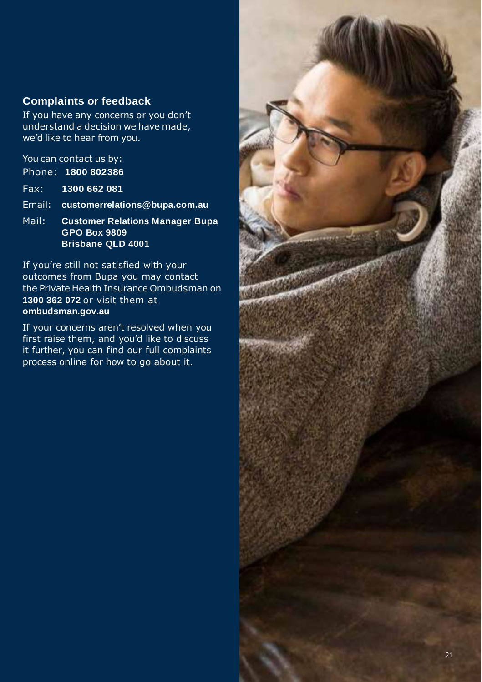#### **Complaints or feedback**

If you have any concerns or you don't understand a decision we have made, we'd like to hear from you.

You can contact us by: Phone: **1800 802386**

Fax: **1300 662 081**

Email: **customerrelations@bupa.com.au**

Mail: **Customer Relations Manager Bupa GPO Box 9809 Brisbane QLD 4001**

If you're still not satisfied with your outcomes from Bupa you may contact the Private Health Insurance Ombudsman on **1300 362 072** or visit them at **ombudsman.gov.au**

If your concerns aren't resolved when you first raise them, and you'd like to discuss it further, you can find our full complaints process online for how to go about it.